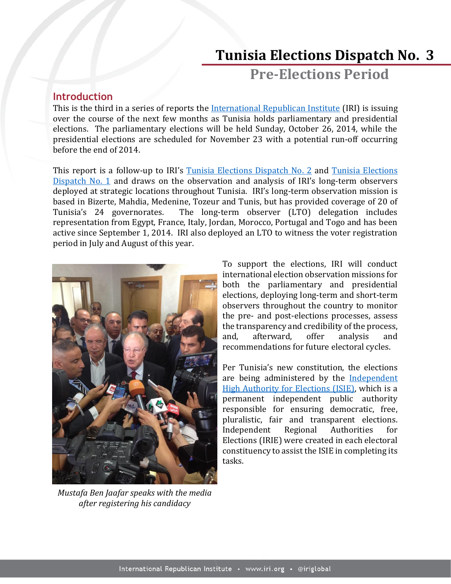# **Tunisia Elections Dispatch No. 3**

**Pre-Elections Period**

## **Introduction**

This is the third in a series of reports the [International Republican Institute](http://www.iri.org/) (IRI) is issuing over the course of the next few months as Tunisia holds parliamentary and presidential elections. The parliamentary elections will be held Sunday, October 26, 2014, while the presidential elections are scheduled for November 23 with a potential run-off occurring before the end of 2014.

This report is a follow-up to IRI's [Tunisia Elections Dispatch No. 2](http://www.iri.org/sites/default/files/2014%20September%2011%20Tunisia%20Elections%20Dispatch%20No.%202-Voter%20Registration_0.pdf) and Tunisia Elections [Dispatch No. 1](http://www.iri.org/sites/default/files/2014%20July%2029%20Tunisia%20Elections%20Dispatch%20No.%201-Voter%20Registration_0.pdf) and draws on the observation and analysis of IRI's long-term observers deployed at strategic locations throughout Tunisia. IRI's long-term observation mission is based in Bizerte, Mahdia, Medenine, Tozeur and Tunis, but has provided coverage of 20 of Tunisia's 24 governorates. The long-term observer (LTO) delegation includes representation from Egypt, France, Italy, Jordan, Morocco, Portugal and Togo and has been active since September 1, 2014. IRI also deployed an LTO to witness the voter registration period in July and August of this year.



*Mustafa Ben Jaafar speaks with the media after registering his candidacy*

To support the elections, IRI will conduct international election observation missions for both the parliamentary and presidential elections, deploying long-term and short-term observers throughout the country to monitor the pre- and post-elections processes, assess the transparency and credibility of the process, and, afterward, offer analysis and recommendations for future electoral cycles.

Per Tunisia's new constitution, the elections are being administered by the [Independent](http://www.isie.tn/)  [High Authority for Elections \(ISIE\),](http://www.isie.tn/) which is a permanent independent public authority responsible for ensuring democratic, free, pluralistic, fair and transparent elections. Independent Regional Authorities for Elections (IRIE) were created in each electoral constituency to assist the ISIE in completing its tasks.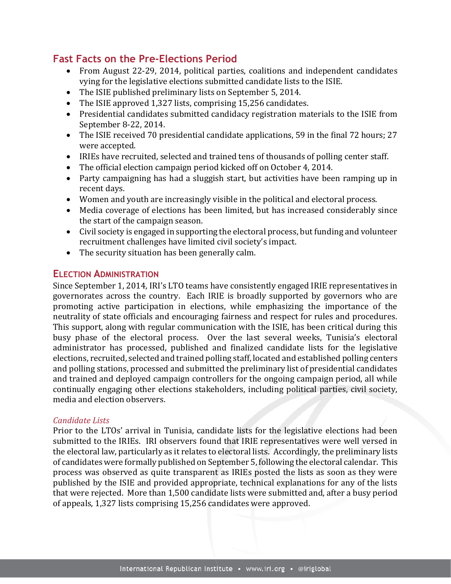# **Fast Facts on the Pre-Elections Period**

- From August 22-29, 2014, political parties, coalitions and independent candidates vying for the legislative elections submitted candidate lists to the ISIE.
- The ISIE published preliminary lists on September 5, 2014.
- The ISIE approved 1,327 lists, comprising 15,256 candidates.
- Presidential candidates submitted candidacy registration materials to the ISIE from September 8-22, 2014.
- The ISIE received 70 presidential candidate applications, 59 in the final 72 hours; 27 were accepted.
- IRIEs have recruited, selected and trained tens of thousands of polling center staff.
- The official election campaign period kicked off on October 4, 2014.
- Party campaigning has had a sluggish start, but activities have been ramping up in recent days.
- Women and youth are increasingly visible in the political and electoral process.
- Media coverage of elections has been limited, but has increased considerably since the start of the campaign season.
- Civil society is engaged in supporting the electoral process, but funding and volunteer recruitment challenges have limited civil society's impact.
- The security situation has been generally calm.

## **ELECTION ADMINISTRATION**

Since September 1, 2014, IRI's LTO teams have consistently engaged IRIE representatives in governorates across the country. Each IRIE is broadly supported by governors who are promoting active participation in elections, while emphasizing the importance of the neutrality of state officials and encouraging fairness and respect for rules and procedures. This support, along with regular communication with the ISIE, has been critical during this busy phase of the electoral process. Over the last several weeks, Tunisia's electoral administrator has processed, published and finalized candidate lists for the legislative elections, recruited, selected and trained polling staff, located and established polling centers and polling stations, processed and submitted the preliminary list of presidential candidates and trained and deployed campaign controllers for the ongoing campaign period, all while continually engaging other elections stakeholders, including political parties, civil society, media and election observers.

## *Candidate Lists*

Prior to the LTOs' arrival in Tunisia, candidate lists for the legislative elections had been submitted to the IRIEs. IRI observers found that IRIE representatives were well versed in the electoral law, particularly as it relates to electoral lists. Accordingly, the preliminary lists of candidates were formally published on September 5, following the electoral calendar. This process was observed as quite transparent as IRIEs posted the lists as soon as they were published by the ISIE and provided appropriate, technical explanations for any of the lists that were rejected. More than 1,500 candidate lists were submitted and, after a busy period of appeals, 1,327 lists comprising 15,256 candidates were approved.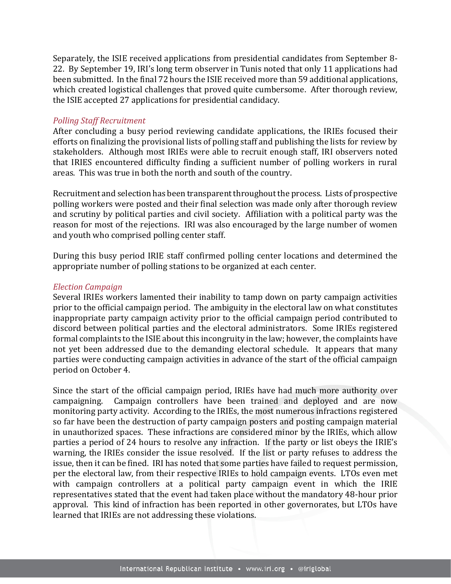Separately, the ISIE received applications from presidential candidates from September 8- 22. By September 19, IRI's long term observer in Tunis noted that only 11 applications had been submitted. In the final 72 hours the ISIE received more than 59 additional applications, which created logistical challenges that proved quite cumbersome. After thorough review, the ISIE accepted 27 applications for presidential candidacy.

#### *Polling Staff Recruitment*

After concluding a busy period reviewing candidate applications, the IRIEs focused their efforts on finalizing the provisional lists of polling staff and publishing the lists for review by stakeholders. Although most IRIEs were able to recruit enough staff, IRI observers noted that IRIES encountered difficulty finding a sufficient number of polling workers in rural areas. This was true in both the north and south of the country.

Recruitment and selection has been transparent throughout the process. Lists of prospective polling workers were posted and their final selection was made only after thorough review and scrutiny by political parties and civil society. Affiliation with a political party was the reason for most of the rejections. IRI was also encouraged by the large number of women and youth who comprised polling center staff.

During this busy period IRIE staff confirmed polling center locations and determined the appropriate number of polling stations to be organized at each center.

#### *Election Campaign*

Several IRIEs workers lamented their inability to tamp down on party campaign activities prior to the official campaign period. The ambiguity in the electoral law on what constitutes inappropriate party campaign activity prior to the official campaign period contributed to discord between political parties and the electoral administrators. Some IRIEs registered formal complaints to the ISIE about this incongruity in the law; however, the complaints have not yet been addressed due to the demanding electoral schedule. It appears that many parties were conducting campaign activities in advance of the start of the official campaign period on October 4.

Since the start of the official campaign period, IRIEs have had much more authority over campaigning. Campaign controllers have been trained and deployed and are now monitoring party activity. According to the IRIEs, the most numerous infractions registered so far have been the destruction of party campaign posters and posting campaign material in unauthorized spaces. These infractions are considered minor by the IRIEs, which allow parties a period of 24 hours to resolve any infraction. If the party or list obeys the IRIE's warning, the IRIEs consider the issue resolved. If the list or party refuses to address the issue, then it can be fined. IRI has noted that some parties have failed to request permission, per the electoral law, from their respective IRIEs to hold campaign events. LTOs even met with campaign controllers at a political party campaign event in which the IRIE representatives stated that the event had taken place without the mandatory 48-hour prior approval. This kind of infraction has been reported in other governorates, but LTOs have learned that IRIEs are not addressing these violations.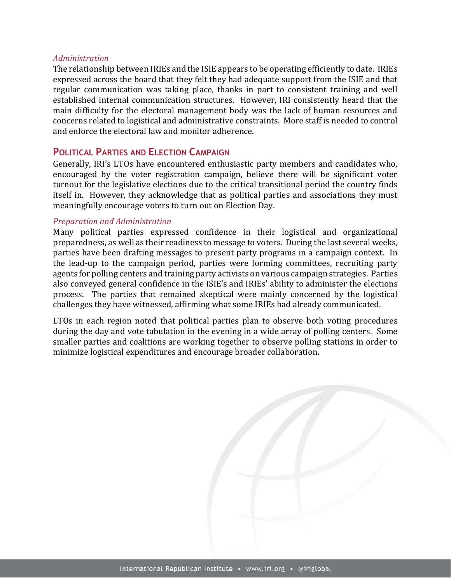#### *Administration*

The relationship between IRIEs and the ISIE appears to be operating efficiently to date. IRIEs expressed across the board that they felt they had adequate support from the ISIE and that regular communication was taking place, thanks in part to consistent training and well established internal communication structures. However, IRI consistently heard that the main difficulty for the electoral management body was the lack of human resources and concerns related to logistical and administrative constraints. More staff is needed to control and enforce the electoral law and monitor adherence.

## **POLITICAL PARTIES AND ELECTION CAMPAIGN**

Generally, IRI's LTOs have encountered enthusiastic party members and candidates who, encouraged by the voter registration campaign, believe there will be significant voter turnout for the legislative elections due to the critical transitional period the country finds itself in. However, they acknowledge that as political parties and associations they must meaningfully encourage voters to turn out on Election Day.

#### *Preparation and Administration*

Many political parties expressed confidence in their logistical and organizational preparedness, as well as their readiness to message to voters. During the last several weeks, parties have been drafting messages to present party programs in a campaign context. In the lead-up to the campaign period, parties were forming committees, recruiting party agents for polling centers and training party activists on various campaign strategies. Parties also conveyed general confidence in the ISIE's and IRIEs' ability to administer the elections process. The parties that remained skeptical were mainly concerned by the logistical challenges they have witnessed, affirming what some IRIEs had already communicated.

LTOs in each region noted that political parties plan to observe both voting procedures during the day and vote tabulation in the evening in a wide array of polling centers. Some smaller parties and coalitions are working together to observe polling stations in order to minimize logistical expenditures and encourage broader collaboration.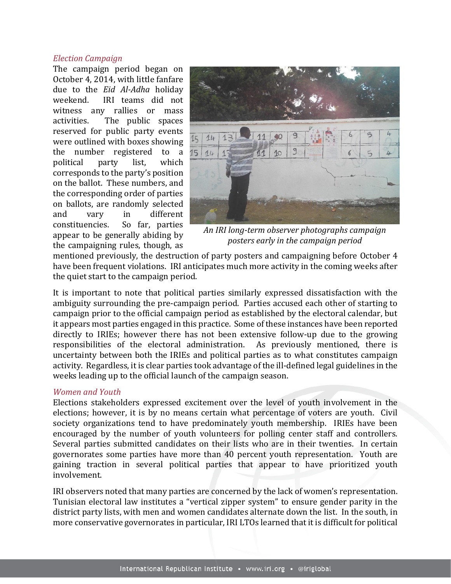#### *Election Campaign*

The campaign period began on October 4, 2014, with little fanfare due to the *Eid Al-Adha* holiday weekend. IRI teams did not witness any rallies or mass activities. The public spaces reserved for public party events were outlined with boxes showing the number registered to a political party list, which corresponds to the party's position on the ballot. These numbers, and the corresponding order of parties on ballots, are randomly selected and vary in different constituencies. So far, parties appear to be generally abiding by the campaigning rules, though, as



*An IRI long-term observer photographs campaign posters early in the campaign period*

mentioned previously, the destruction of party posters and campaigning before October 4 have been frequent violations. IRI anticipates much more activity in the coming weeks after the quiet start to the campaign period.

It is important to note that political parties similarly expressed dissatisfaction with the ambiguity surrounding the pre-campaign period. Parties accused each other of starting to campaign prior to the official campaign period as established by the electoral calendar, but it appears most parties engaged in this practice. Some of these instances have been reported directly to IRIEs; however there has not been extensive follow-up due to the growing responsibilities of the electoral administration. As previously mentioned, there is uncertainty between both the IRIEs and political parties as to what constitutes campaign activity. Regardless, it is clear parties took advantage of the ill-defined legal guidelines in the weeks leading up to the official launch of the campaign season.

#### *Women and Youth*

Elections stakeholders expressed excitement over the level of youth involvement in the elections; however, it is by no means certain what percentage of voters are youth. Civil society organizations tend to have predominately youth membership. IRIEs have been encouraged by the number of youth volunteers for polling center staff and controllers. Several parties submitted candidates on their lists who are in their twenties. In certain governorates some parties have more than 40 percent youth representation. Youth are gaining traction in several political parties that appear to have prioritized youth involvement.

IRI observers noted that many parties are concerned by the lack of women's representation. Tunisian electoral law institutes a "vertical zipper system" to ensure gender parity in the district party lists, with men and women candidates alternate down the list. In the south, in more conservative governorates in particular, IRI LTOs learned that it is difficult for political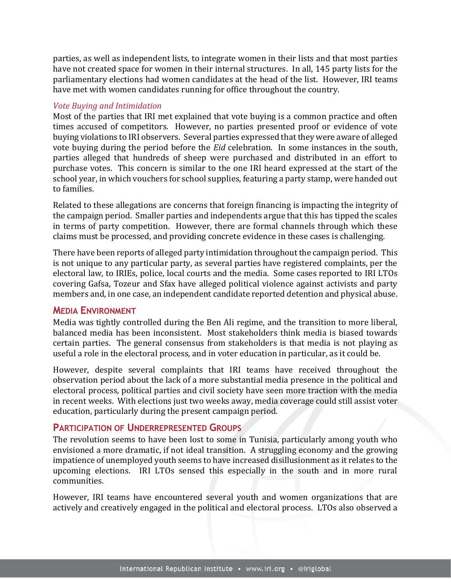parties, as well as independent lists, to integrate women in their lists and that most parties have not created space for women in their internal structures. In all, 145 party lists for the parliamentary elections had women candidates at the head of the list. However, IRI teams have met with women candidates running for office throughout the country.

### *Vote Buying and Intimidation*

Most of the parties that IRI met explained that vote buying is a common practice and often times accused of competitors. However, no parties presented proof or evidence of vote buying violations to IRI observers. Several parties expressed that they were aware of alleged vote buying during the period before the *Eid* celebration. In some instances in the south, parties alleged that hundreds of sheep were purchased and distributed in an effort to purchase votes. This concern is similar to the one IRI heard expressed at the start of the school year, in which vouchers for school supplies, featuring a party stamp, were handed out to families.

Related to these allegations are concerns that foreign financing is impacting the integrity of the campaign period. Smaller parties and independents argue that this has tipped the scales in terms of party competition. However, there are formal channels through which these claims must be processed, and providing concrete evidence in these cases is challenging.

There have been reports of alleged party intimidation throughout the campaign period. This is not unique to any particular party, as several parties have registered complaints, per the electoral law, to IRIEs, police, local courts and the media. Some cases reported to IRI LTOs covering Gafsa, Tozeur and Sfax have alleged political violence against activists and party members and, in one case, an independent candidate reported detention and physical abuse.

## **MEDIA ENVIRONMENT**

Media was tightly controlled during the Ben Ali regime, and the transition to more liberal, balanced media has been inconsistent. Most stakeholders think media is biased towards certain parties. The general consensus from stakeholders is that media is not playing as useful a role in the electoral process, and in voter education in particular, as it could be.

However, despite several complaints that IRI teams have received throughout the observation period about the lack of a more substantial media presence in the political and electoral process, political parties and civil society have seen more traction with the media in recent weeks. With elections just two weeks away, media coverage could still assist voter education, particularly during the present campaign period.

## **PARTICIPATION OF UNDERREPRESENTED GROUPS**

The revolution seems to have been lost to some in Tunisia, particularly among youth who envisioned a more dramatic, if not ideal transition. A struggling economy and the growing impatience of unemployed youth seems to have increased disillusionment as it relates to the upcoming elections. IRI LTOs sensed this especially in the south and in more rural communities.

However, IRI teams have encountered several youth and women organizations that are actively and creatively engaged in the political and electoral process. LTOs also observed a